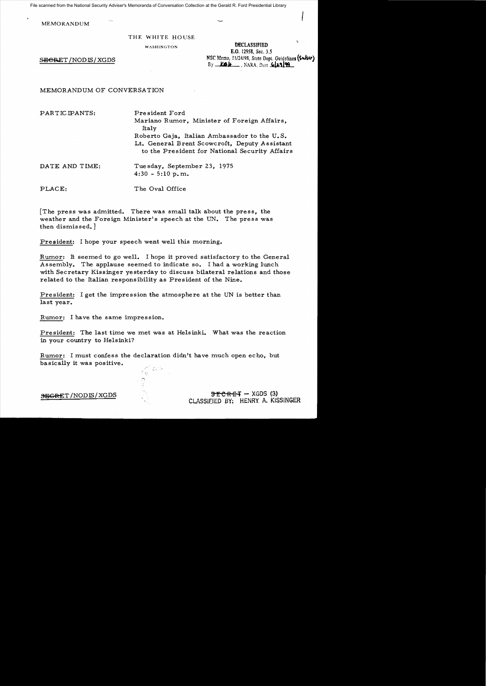File scanned from the National Security Adviser's Memoranda of Conversation Collection at the Gerald R. Ford Presidential Library

MEMORANDUM

## THE WHITE HOUSE

DECLASSIFIED E.O. 12958, Sec. 3.5 ~eR.ET NSC Memo, !1I24!98, State Dept. Guidelines **(S..Jscr)** /NODIS/XGDS  $By$   $K\mathbf{B}$ **H**  $\ldots$  . NARA, Dete  $GL21$  **99** 

MEMORANDUM OF CONVERSATION

PARTICIPANTS: Pre sident Ford

Mariano Rumor, Minister of Foreign Affairs, Italy Roberto Gaja, Italian Ambassador to the U.S. Lt. General Brent Scowcroft, Deputy Assistant to the President for National Security Affairs

DATE AND TIME: Tuesday, September 23, 1975  $4:30 - 5:10 \text{ p.m.}$ 

PLACE: The Oval Office

The press was admitted. There was small talk about the press, the weather and the Foreign Minister's speech at the UN. The press was then dismissed.  $]$ 

President: I hope your speech went well this morning.

Rumor: It seemed to go well. I hope it proved satisfactory to the General Assembly. The applause seemed to indicate so. I had a working lunch with Secretary Kissinger yesterday to discuss bilateral relations and those related to the Italian responsibility as President of the Nine.

President: I get the impression the atmosphere at the UN is better than last year.

Rumor: I have the same impression.

President: The last time we met was at Helsinki. What was the reaction in your country to Helsinki?

Rumor: I must confess the declaration didn't have much open echo, but basically it was positive.

SEGRET/NODIS/XGDS 3E CRET - XGDS (3) CLASSifIED BY. HENRY. A. KISSINGER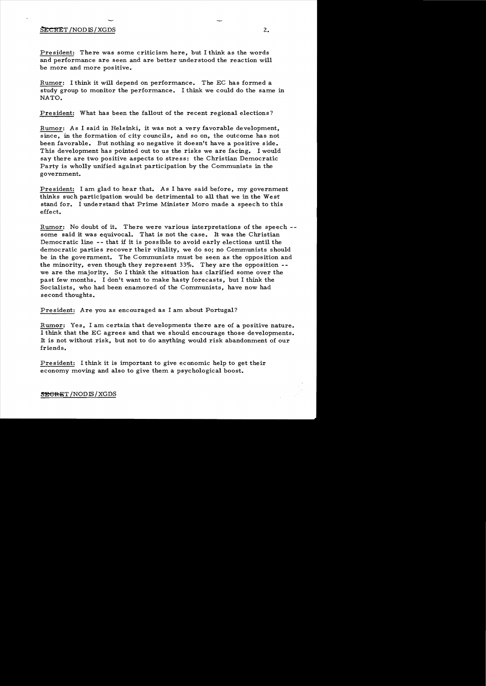## SECRET/NODIS/XGDS

President: There was some criticism here, but I think as the words and performance are seen and are better understood the reaction will be more and more positive.

Rumor: I think it will depend on performance. The EC has formed a study group to monitor the performance. I think we could do the same in NATO.

President: What has been the fallout of the recent regional elections?

Rumor: As I said in Helsinki, it was not a very favorable development, since, in the formation of city councils, and so on, the outcome has not been favorable. But nothing so negative it doesn't have a positive side. This development has pointed out to us the risks we are facing. I would say there are two positive aspects to stress: the Christian Democratic Party is wholly unified against participation by the Communists in the government.

President: I am glad to hear that. As I have said before, my government thinks such participation would be detrimental to all that we in the West stand for. I understand that Prime Minister Moro made a speech to this effect.

Rumor: No doubt of it. There were various interpretations of the speech -some said it was equivocal. That is not the case. It was the Christian Democratic line -- that if it is possible to avoid early elections until the democratic parties recover their vitality, we do so; no Communists should be in the government. The Communists must be seen as the opposition and the minority, even though they represent  $33\%$ . They are the opposition -we are the majority. So I think the situation has clarified some over the past few months. I don't want to make hasty forecasts, but I think the Socialists, who had been enamored of the Communists, have now had second thoughts.

President: Are you as encouraged as I am about Portugal?

Rumor: Yes, I am certain that developments there are of a positive nature. I think that the EC agrees and that we should encourage those developments. It is not without risk, but not to do anything would risk abandonment of our friends.

President: I think it is important to give economic help to get their economy moving and also to give them a psychological boost.

5E<del>CRE</del>T/NODIS/XGDS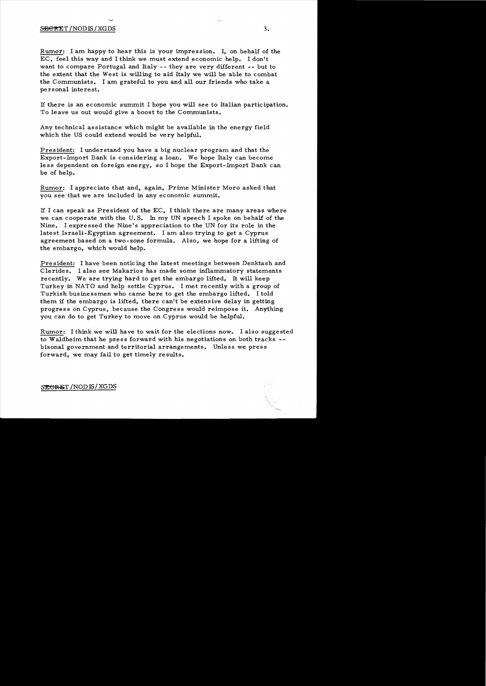Rumor: I am happy to hear this is your impression. I, on behalf of the EC, feel this way and I think we must extend economic help. I don't want to compare Portugal and Italy **--** they are very different **--** but to the extent that the West is willing to aid Italy we will be able to combat the Communists. I am grateful to you and all our friends who take a personal interest.

1£ there is an economic summit I hope you will see to Italian participation. To leave us out would give a boost to the Communists.

Any technical assistance which might be available in the energy field which the US could extend would be very helpful.

President: I understand you have a big nuclear program and that the Export-Import Bank is considering a loan. We hope Italy can become less dependent on foreign energy, so I hope the Export-Import Bank can be of help.

Rumor: I appreciate that and, again, Prime Minister Moro asked that you see that we are included in any economic summit.

1£ I can speak as President of the EC, I think there are many areas where we can cooperate with the U. S. In my UN speech I spoke on behalf of the Nine. I expre ssed the Nine's appreciation to the UN for its role in the latest Israeli-Egyptian agreement. I am also trying to get a Cyprus agreement based on a two-zone formula. Also, we hope for a lifting of the embargo, which would help.

President: I have been noticing the latest meetings between Denktash and Clerides. I also see Makarios has made some inflammatory statements recently. We are trying hard to get the embargo lifted. It will keep Turkey in NATO and help settle Cyprus. I met recently with a group of Turkish businessmen who came here to get the embargo lifted. I told them if the embargo is lifted, there can't be extensive delay in getting progress on Cyprus, because the Congress would reimpose it. Anything you can do to get Turkey to move on Cyprus would be helpful.

Rumor: I think we will have to wait for the elections now. I also suggested to Waldheim that he press forward with his negotiations on both tracks bizonal government and territorial arrangements. Unless we press forward, we may fail to get timely results.

SE<del>CRE</del>T/NODIS/XGDS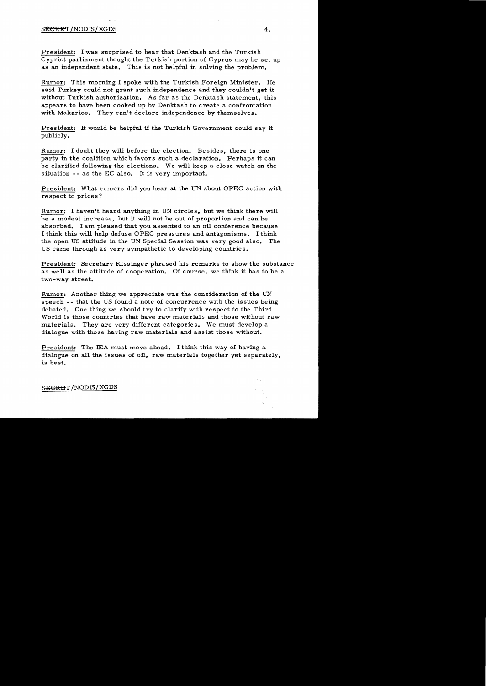President: I was surprised to hear that Denktash and the Turkish Cypriot parliament thought the Turkish portion of Cyprus may be set up as an independent state. This is not helpful in solving the problem.

Rumor: This morning I spoke with the Turkish Foreign Minister. He said Turkey could not grant such independence and they couldn't get it without Turkish authorization. As far as the Denktash statement, this appears to have been cooked up by Denktash to create a confrontation with Makarios. They can't declare independence by themselves.

President: It would be helpful if the Turkish Government could say it publicly.

Rumor: I doubt they will before the election. Besides, there is one party in the coalition which favors such a declaration. Perhaps it can be clarified following the elections. We will keep a close watch on the situation **--** as the EC also. It is very important.

President: What rumors did you hear at the UN about OPEC action with re spect to price s ?

Rumor: I haven't heard anything in UN circles, but we think there will be a modest increase, but it will not be out of proportion and can be absorbed. I am pleased that you assented to an oil conference because I think this will help defuse OPEC pressures and antagonisms. I think the open US attitude in the UN Special Se ssion was very good also. The US came through as very sympathetic to developing countries.

President: Secretary Kissinger phrased his remarks to show the substance as well as the attitude of cooperation. Of course, we think it has to be a two -way street.

Rumor: Another thing we appreciate was the consideration of the UN speech **--** that the US found a note of concurrence with the issues being debated. One thing we should try to clarify with respect to the Third World is those countries that have raw materials and those without raw materials. They are very different categories. We must develop a dialogue with those having raw materials and assist those without.

President: The IEA must move ahead. I think this way of having a dialogue on all the issues of oil, raw materials together yet separately, is best.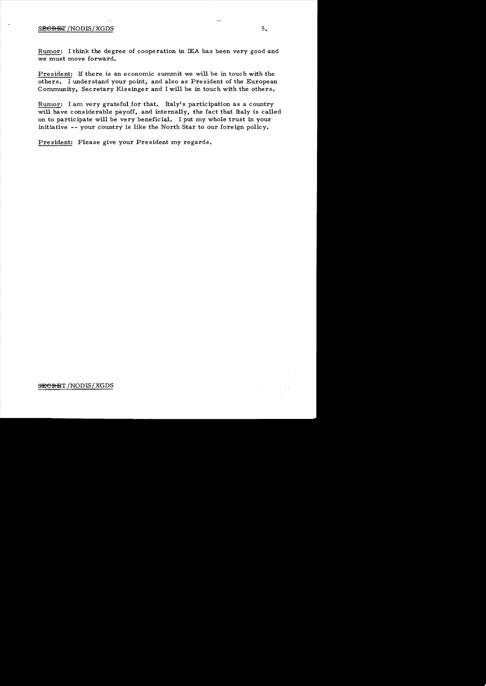## SEGRET / NODIS / XGDS

Rumor: I think the degree of cooperation in IEA has been very good and we must move forward.

President: If there is an economic summit we will be in touch with the others. I understand your point, and also as President of the European Community, Secretary Kissinger and I will be in touch with the others.

Rumor: I am very grateful for that. Italy's participation as a country will have considerable payoff, and internally, the fact that Italy is called on to participate will be very beneficial. I put my whole trust in your initiative **--** your country is like the North Star to our foreign policy.

President: Please give your President my regards.

SECRET/NODIS/XGDS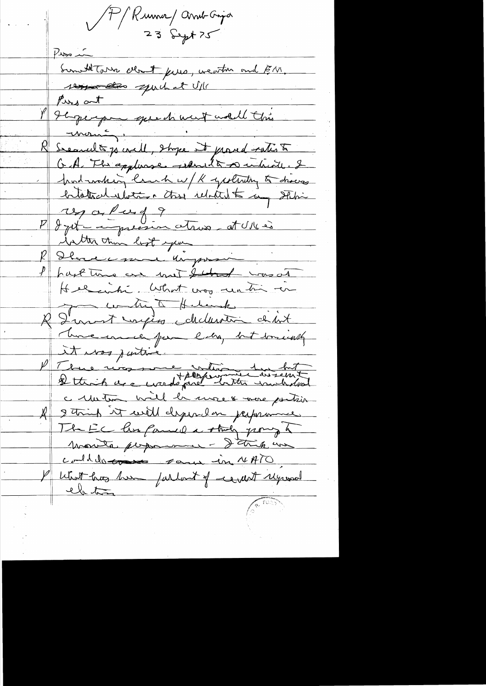A Kunne and Gripa 23 Sept 75 Pirain Suntitors deat purs, weather and EM. Persont puch at U/15<br>Persont que de ment mell this Secondt 70 will, shope it proved ratio to G.A. The appliance reduced to a which of Industring land w/ K yesterday to draws entotant ilotion these idateste a stehin P dyct impressive at Ulles inter than lost you R Dhave me virgement I have tous even met that was at Helenhi. What was reating on R Dannet mytes childeren didn't There ersel for like, but somewhich It was justice und they write we hat c untra will be more & more postion A string it will dependen perprove The EC his famed a striky pory to monte perponent - D'ank un could to some form in NATO I what has her farlant of revent regional el tra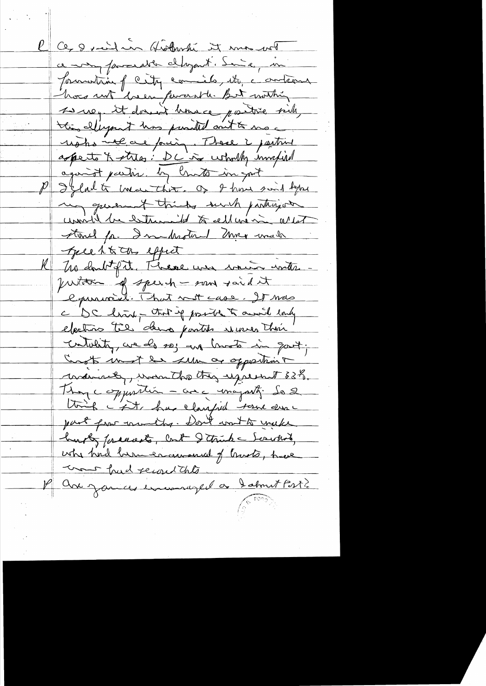l Ce 8 suite en Gosburke it mas vot ce mon fammelle chapant. Some in formation f city commissés, etc. conterne hors not breen persent le But mothin se vez it donner house partire sich, this ellipsent has punited out to me usho veloce pour, These i partire apperte X stres: DC is wholly invapiral against partir. by limits in gost P Jeladte ence that. Of I have sind hear my queen it thinks such participate unville la bettemailed to cellevision arent Stone for Inulhesten meg wade guest to the effect The doubt of it. These was sound with justiture of speech - sand raid it l'puriorité. That not case. It was c DC hind - that if partie to avoid end. cutatity, we do so; up limits in good; Croots unot be sure or opportunit warnet, won the thy uprent 83%. Though esparation - avec unapartic de 2 tough int, has clausfied tour durc part from committer. Don't won't to youke husby for each load I think - Scruthod, when had been encouranced of trusts, have Come had record this avec zamces enveronce jel a dabout Post?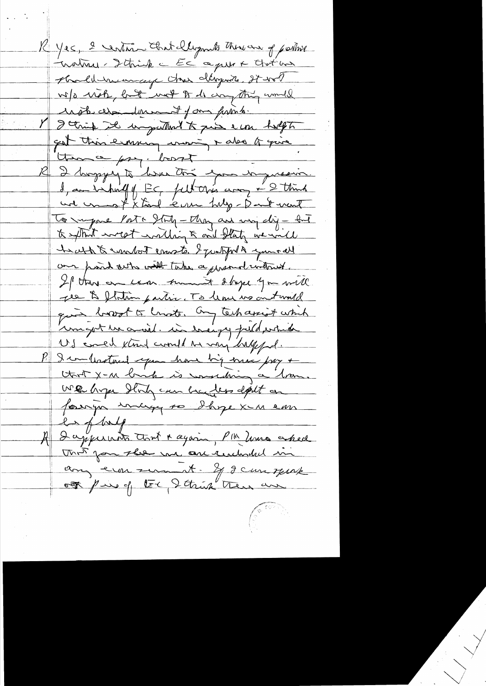K Yes, 2 centime that llegants there are of partire inature - Ithink a EC agreer Chat and shold numery has digeon to the w/o with, hat not to do anything would uste chandement of our function I think it in puttent to just eine holf to got this emma moi + also to que them a pry. bort I hoppy to have the your wynesin. une une of X toul écone tuly-Dank vent To impone Porto Stuty - they are using dig - but to extract west walking to and staty we will techn & warbout courts. I justified your all our point outs with take a present without. If this on come turned stape you will The & flotom partie. To leave us out would quis bort to lingto. Ony tech assist which unight we avail. in everyog puld which US could know compt to my half fol. P & combatant span have big min pay + We hope Hody can be be dess deput on foreign unige so shipe x in em  $\frac{2}{\pi}$  f bolg A Dappermoto tout a again, PM hours asked The for the we are reachoded in any ever sum it - If I can speak our pair of the Ithink then are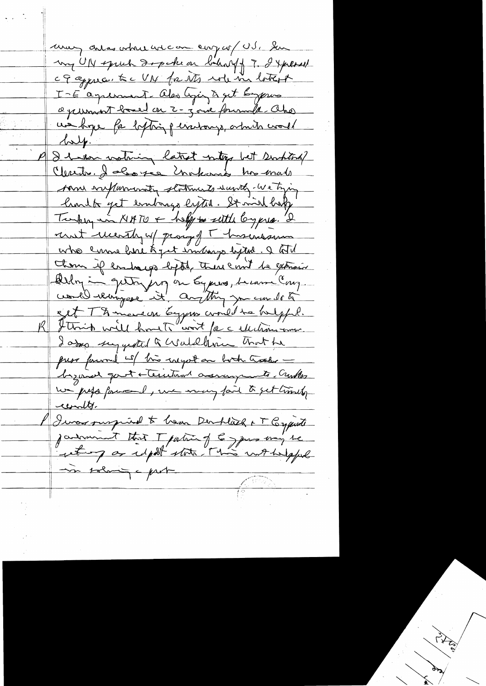unary antas where are one comp of US. Som my UN spruh dopoken bihary 7. I yerrest of apprecented UN for its role in latein I-E aquiment also ligin à get biogenes a jeument board en 2-jour formule ako un bye for betting personys, amin world  $\sqrt{\lambda}$ I have vating latest niter bet suchted? Clerite 2 aboute motions has made som suffermanty statements wearth we tying limit fet endorse lyter. It mid help Turking in NATO + help to settle long pris. 2 runt menty up part l'hosenssemment who came hire & jut interspected. I til Chom if endange beptit, there emit be extrain Deligion queting on Eyes , became Cong. est Thmerson bypus could to bulgful. Ittrick will have to wort for a electron www. I asso suggested a Waldhim Trat he press forward with this inegation both tracks begand goot + territor assuments. Curtes un just four l, une may fail to get timely contr. Iwas suspiral to hear Derflach + T Conqueste jadrament that I patrick of la space may be set of a report state This withoutful in solving - prob-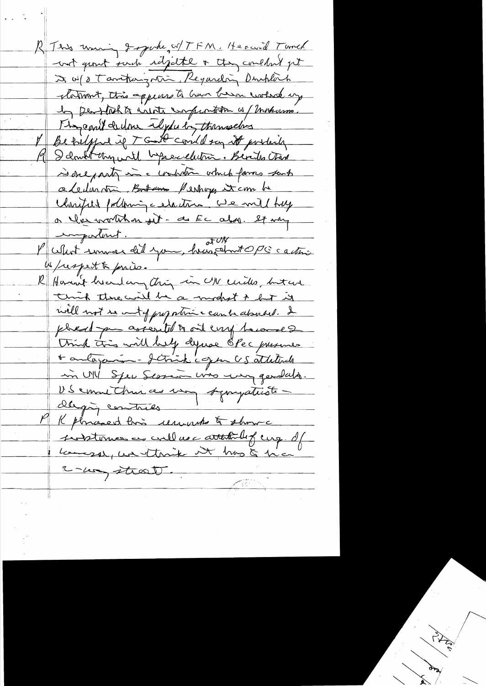R This uning I spoke, W/TFN. He could Tunch not growt such reliefable & they couldn't get I w/ a Tamtongran Regarding Durchlach platment, this appears to have been cooked up In perflichts with compromition is / making. Magamit decline elydulos themselves Betriffed if T Good could say it portails 9 Santit un will bepreceleurs. Berits trad sidelparty in a contration which famos sent a ledinmon Brown Perhops it com he Charital pollowing celation. We will hay a l'es voutra sit- au Ec abri. It ver Pullet souver dit you, heindrope castin W/respect & price. R Hann't heard any thing in UN ceritor but are think there will be a modest to but it well not recent of proportion can be abouted. I phead you assembly to one coup herouse 2 think this will bell dynse OPec pussues \* autoganisme - Jetrick copper US attaliede in UIL Spec Serrain was using generales. US emmethine as un sympatiste dligging contries Kphrasent hois ununts & shows instruces en culles attitules cup. If Lameson, we think it has to him C-les street.